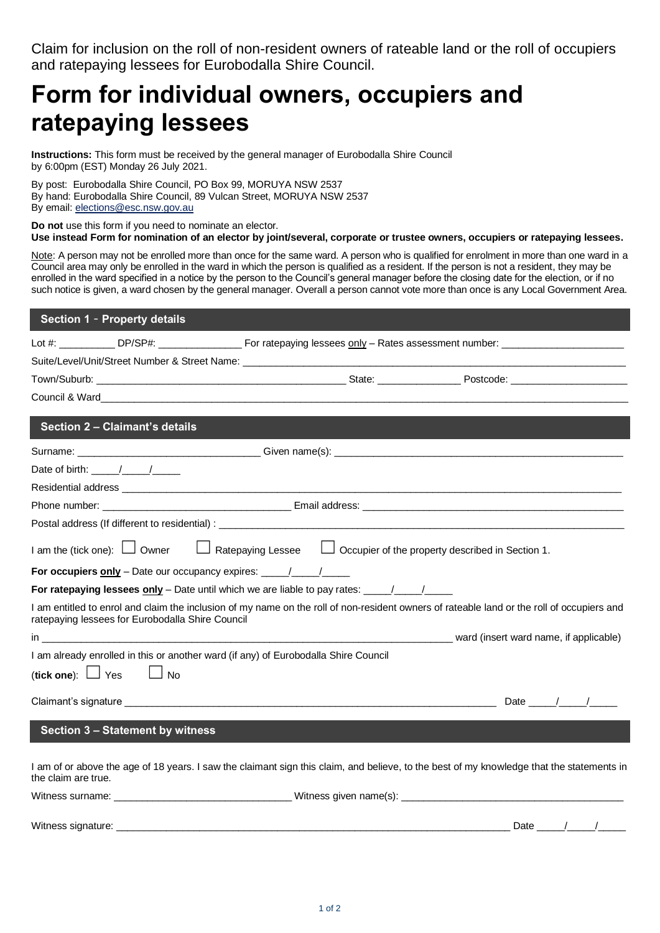Claim for inclusion on the roll of non-resident owners of rateable land or the roll of occupiers and ratepaying lessees for Eurobodalla Shire Council.

## **Form for individual owners, occupiers and ratepaying lessees**

**Instructions:** This form must be received by the general manager of Eurobodalla Shire Council by 6:00pm (EST) Monday 26 July 2021.

By post: Eurobodalla Shire Council, PO Box 99, MORUYA NSW 2537 By hand: Eurobodalla Shire Council, 89 Vulcan Street, MORUYA NSW 2537 By email: [elections@esc.nsw.gov.au](mailto:elections@esc.nsw.gov.au)

**Do not** use this form if you need to nominate an elector. **Use instead Form for nomination of an elector by joint/several, corporate or trustee owners, occupiers or ratepaying lessees.**

Note: A person may not be enrolled more than once for the same ward. A person who is qualified for enrolment in more than one ward in a Council area may only be enrolled in the ward in which the person is qualified as a resident. If the person is not a resident, they may be enrolled in the ward specified in a notice by the person to the Council's general manager before the closing date for the election, or if no such notice is given, a ward chosen by the general manager. Overall a person cannot vote more than once is any Local Government Area.

| Section 1 - Property details                                                                                                                                                                   |  |                                                                                                                                                                                                                                                                                                                                                                                                                  |
|------------------------------------------------------------------------------------------------------------------------------------------------------------------------------------------------|--|------------------------------------------------------------------------------------------------------------------------------------------------------------------------------------------------------------------------------------------------------------------------------------------------------------------------------------------------------------------------------------------------------------------|
| Lot #: _____________ DP/SP#: ____________________ For ratepaying lessees only - Rates assessment number: _____________________________                                                         |  |                                                                                                                                                                                                                                                                                                                                                                                                                  |
|                                                                                                                                                                                                |  |                                                                                                                                                                                                                                                                                                                                                                                                                  |
|                                                                                                                                                                                                |  |                                                                                                                                                                                                                                                                                                                                                                                                                  |
|                                                                                                                                                                                                |  |                                                                                                                                                                                                                                                                                                                                                                                                                  |
| Section 2 - Claimant's details                                                                                                                                                                 |  |                                                                                                                                                                                                                                                                                                                                                                                                                  |
|                                                                                                                                                                                                |  |                                                                                                                                                                                                                                                                                                                                                                                                                  |
| Date of birth: $\frac{1}{\sqrt{1-\frac{1}{2}}}\frac{1}{\sqrt{1-\frac{1}{2}}}}$                                                                                                                 |  |                                                                                                                                                                                                                                                                                                                                                                                                                  |
|                                                                                                                                                                                                |  |                                                                                                                                                                                                                                                                                                                                                                                                                  |
|                                                                                                                                                                                                |  |                                                                                                                                                                                                                                                                                                                                                                                                                  |
|                                                                                                                                                                                                |  |                                                                                                                                                                                                                                                                                                                                                                                                                  |
| I am the (tick one): $\Box$ Owner $\Box$ Ratepaying Lessee $\Box$ Occupier of the property described in Section 1.                                                                             |  |                                                                                                                                                                                                                                                                                                                                                                                                                  |
|                                                                                                                                                                                                |  |                                                                                                                                                                                                                                                                                                                                                                                                                  |
| For ratepaying lessees only – Date until which we are liable to pay rates: $\frac{1}{\sqrt{1-\frac{1}{2}}}\frac{1}{\sqrt{1-\frac{1}{2}}}}$                                                     |  |                                                                                                                                                                                                                                                                                                                                                                                                                  |
| I am entitled to enrol and claim the inclusion of my name on the roll of non-resident owners of rateable land or the roll of occupiers and<br>ratepaying lessees for Eurobodalla Shire Council |  |                                                                                                                                                                                                                                                                                                                                                                                                                  |
|                                                                                                                                                                                                |  |                                                                                                                                                                                                                                                                                                                                                                                                                  |
| I am already enrolled in this or another ward (if any) of Eurobodalla Shire Council                                                                                                            |  |                                                                                                                                                                                                                                                                                                                                                                                                                  |
| (tick one): $\Box$ Yes<br>$\Box$ No                                                                                                                                                            |  |                                                                                                                                                                                                                                                                                                                                                                                                                  |
|                                                                                                                                                                                                |  | Date $\frac{1}{\sqrt{1-\frac{1}{2}}}\frac{1}{\sqrt{1-\frac{1}{2}}\sqrt{1-\frac{1}{2}}\sqrt{1-\frac{1}{2}}\sqrt{1-\frac{1}{2}}\sqrt{1-\frac{1}{2}}\sqrt{1-\frac{1}{2}}\sqrt{1-\frac{1}{2}}\sqrt{1-\frac{1}{2}}\sqrt{1-\frac{1}{2}}\sqrt{1-\frac{1}{2}}\sqrt{1-\frac{1}{2}}\sqrt{1-\frac{1}{2}}\sqrt{1-\frac{1}{2}}\sqrt{1-\frac{1}{2}}\sqrt{1-\frac{1}{2}}\sqrt{1-\frac{1}{2}}\sqrt{1-\frac{1}{2}}\sqrt{1-\frac{$ |
| <b>Section 3 - Statement by witness</b>                                                                                                                                                        |  |                                                                                                                                                                                                                                                                                                                                                                                                                  |
| I am of or above the age of 18 years. I saw the claimant sign this claim, and believe, to the best of my knowledge that the statements in<br>the claim are true.                               |  |                                                                                                                                                                                                                                                                                                                                                                                                                  |
|                                                                                                                                                                                                |  |                                                                                                                                                                                                                                                                                                                                                                                                                  |
| Witness signature:                                                                                                                                                                             |  | Date $\frac{\sqrt{2}}{2}$                                                                                                                                                                                                                                                                                                                                                                                        |